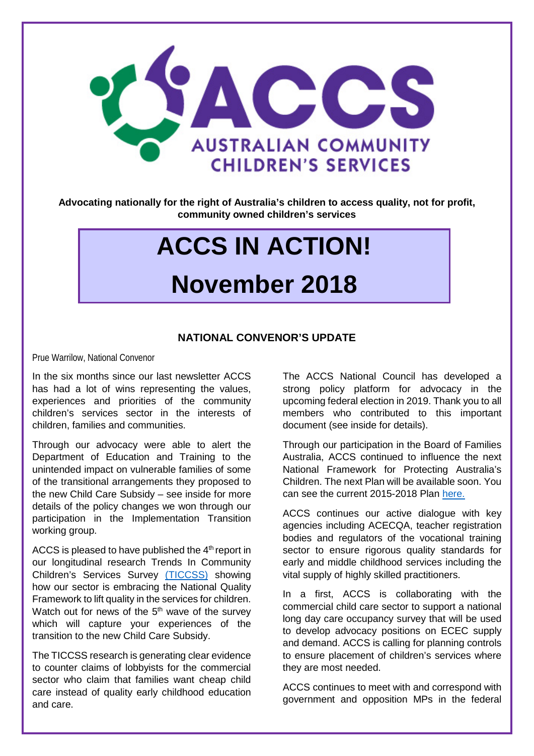

**Advocating nationally for the right of Australia's children to access quality, not for profit, community owned children's services**

# **ACCS IN ACTION!**

### **November 2018**

#### **NATIONAL CONVENOR'S UPDATE**

Prue Warrilow, National Convenor

In the six months since our last newsletter ACCS has had a lot of wins representing the values, experiences and priorities of the community children's services sector in the interests of children, families and communities.

Through our advocacy were able to alert the Department of Education and Training to the unintended impact on vulnerable families of some of the transitional arrangements they proposed to the new Child Care Subsidy – see inside for more details of the policy changes we won through our participation in the Implementation Transition working group.

ACCS is pleased to have published the  $4<sup>th</sup>$  report in our longitudinal research Trends In Community Children's Services Survey [\(TICCSS\)](http://ausccs.org.au/?page_id=93) showing how our sector is embracing the National Quality Framework to lift quality in the services for children. Watch out for news of the 5<sup>th</sup> wave of the survey which will capture your experiences of the transition to the new Child Care Subsidy.

The TICCSS research is generating clear evidence to counter claims of lobbyists for the commercial sector who claim that families want cheap child care instead of quality early childhood education and care.

The ACCS National Council has developed a strong policy platform for advocacy in the upcoming federal election in 2019. Thank you to all members who contributed to this important document (see inside for details).

Through our participation in the Board of Families Australia, ACCS continued to influence the next National Framework for Protecting Australia's Children. The next Plan will be available soon. You can see the current 2015-2018 Plan [here.](https://www.dss.gov.au/families-and-children/programmes-services/children/protecting-children-is-everyones-business-national-framework-for-protecting-australias-children-2009-2020-third-action-plan-2015-2018)

ACCS continues our active dialogue with key agencies including ACECQA, teacher registration bodies and regulators of the vocational training sector to ensure rigorous quality standards for early and middle childhood services including the vital supply of highly skilled practitioners.

In a first, ACCS is collaborating with the commercial child care sector to support a national long day care occupancy survey that will be used to develop advocacy positions on ECEC supply and demand. ACCS is calling for planning controls to ensure placement of children's services where they are most needed.

ACCS continues to meet with and correspond with government and opposition MPs in the federal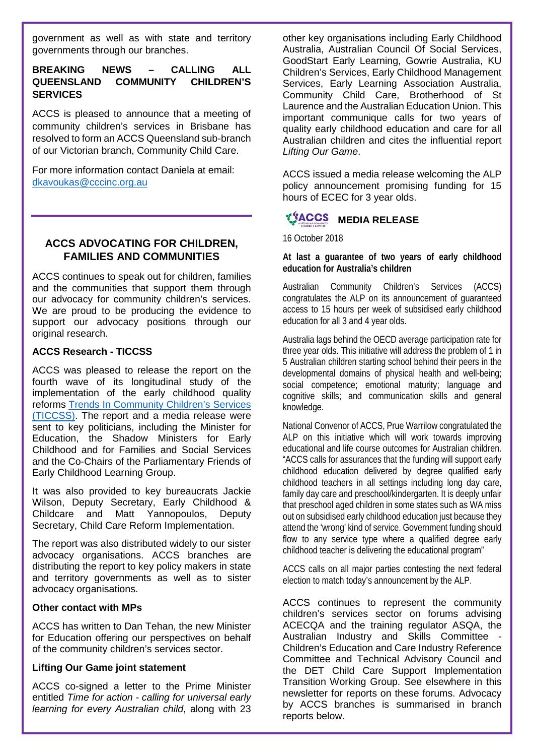government as well as with state and territory governments through our branches.

#### **BREAKING NEWS – CALLING ALL QUEENSLAND COMMUNITY CHILDREN'S SERVICES**

ACCS is pleased to announce that a meeting of community children's services in Brisbane has resolved to form an ACCS Queensland sub-branch of our Victorian branch, Community Child Care.

For more information contact Daniela at email: [dkavoukas@cccinc.org.au](mailto:dkavoukas@cccinc.org.au)

#### **ACCS ADVOCATING FOR CHILDREN, FAMILIES AND COMMUNITIES**

ACCS continues to speak out for children, families and the communities that support them through our advocacy for community children's services. We are proud to be producing the evidence to support our advocacy positions through our original research.

#### **ACCS Research - TICCSS**

ACCS was pleased to release the report on the fourth wave of its longitudinal study of the implementation of the early childhood quality reforms [Trends In Community Children's Services](http://ausccs.org.au/?page_id=93)  [\(TICCSS\).](http://ausccs.org.au/?page_id=93) The report and a media release were sent to key politicians, including the Minister for Education, the Shadow Ministers for Early Childhood and for Families and Social Services and the Co-Chairs of the Parliamentary Friends of Early Childhood Learning Group.

It was also provided to key bureaucrats Jackie Wilson, Deputy Secretary, Early Childhood & Childcare and Matt Yannopoulos, Deputy Secretary, Child Care Reform Implementation.

The report was also distributed widely to our sister advocacy organisations. ACCS branches are distributing the report to key policy makers in state and territory governments as well as to sister advocacy organisations.

#### **Other contact with MPs**

ACCS has written to Dan Tehan, the new Minister for Education offering our perspectives on behalf of the community children's services sector.

#### **Lifting Our Game joint statement**

ACCS co-signed a letter to the Prime Minister entitled *Time for action - calling for universal early learning for every Australian child*, along with 23

other key organisations including Early Childhood Australia, Australian Council Of Social Services, GoodStart Early Learning, Gowrie Australia, KU Children's Services, Early Childhood Management Services, Early Learning Association Australia, Community Child Care, Brotherhood of St Laurence and the Australian Education Union. This important communique calls for two years of quality early childhood education and care for all Australian children and cites the influential report *Lifting Our Game*.

ACCS issued a media release welcoming the ALP policy announcement promising funding for 15 hours of ECEC for 3 year olds.

#### **MEDIA RELEASE**

16 October 2018

#### **At last a guarantee of two years of early childhood education for Australia's children**

Australian Community Children's Services (ACCS) congratulates the ALP on its announcement of guaranteed access to 15 hours per week of subsidised early childhood education for all 3 and 4 year olds.

Australia lags behind the OECD average participation rate for three year olds. This initiative will address the problem of 1 in 5 Australian children starting school behind their peers in the developmental domains of physical health and well-being; social competence; emotional maturity; language and cognitive skills; and communication skills and general knowledge.

National Convenor of ACCS, Prue Warrilow congratulated the ALP on this initiative which will work towards improving educational and life course outcomes for Australian children. "ACCS calls for assurances that the funding will support early childhood education delivered by degree qualified early childhood teachers in all settings including long day care, family day care and preschool/kindergarten. It is deeply unfair that preschool aged children in some states such as WA miss out on subsidised early childhood education just because they attend the 'wrong' kind of service. Government funding should flow to any service type where a qualified degree early childhood teacher is delivering the educational program"

ACCS calls on all major parties contesting the next federal election to match today's announcement by the ALP.

ACCS continues to represent the community children's services sector on forums advising ACECQA and the training regulator ASQA, the Australian Industry and Skills Committee Children's Education and Care Industry Reference Committee and Technical Advisory Council and the DET Child Care Support Implementation Transition Working Group. See elsewhere in this newsletter for reports on these forums. Advocacy by ACCS branches is summarised in branch reports below.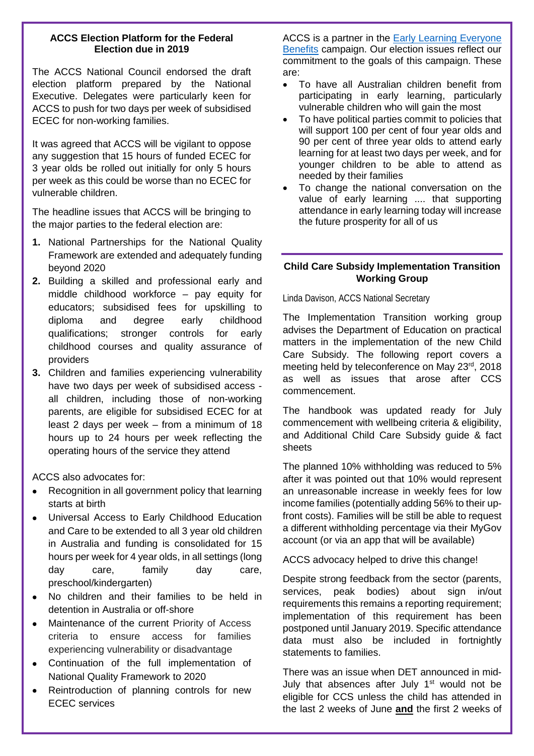#### **ACCS Election Platform for the Federal Election due in 2019**

The ACCS National Council endorsed the draft election platform prepared by the National Executive. Delegates were particularly keen for ACCS to push for two days per week of subsidised ECEC for non-working families.

It was agreed that ACCS will be vigilant to oppose any suggestion that 15 hours of funded ECEC for 3 year olds be rolled out initially for only 5 hours per week as this could be worse than no ECEC for vulnerable children.

The headline issues that ACCS will be bringing to the major parties to the federal election are:

- **1.** National Partnerships for the National Quality Framework are extended and adequately funding beyond 2020
- **2.** Building a skilled and professional early and middle childhood workforce – pay equity for educators; subsidised fees for upskilling to diploma and degree early childhood qualifications; stronger controls for early childhood courses and quality assurance of providers
- **3.** Children and families experiencing vulnerability have two days per week of subsidised access all children, including those of non-working parents, are eligible for subsidised ECEC for at least 2 days per week – from a minimum of 18 hours up to 24 hours per week reflecting the operating hours of the service they attend

ACCS also advocates for:

- Recognition in all government policy that learning starts at birth
- Universal Access to Early Childhood Education and Care to be extended to all 3 year old children in Australia and funding is consolidated for 15 hours per week for 4 year olds, in all settings (long day care, family day care, preschool/kindergarten)
- No children and their families to be held in detention in Australia or off-shore
- Maintenance of the current Priority of Access criteria to ensure access for families experiencing vulnerability or disadvantage
- Continuation of the full implementation of National Quality Framework to 2020
- Reintroduction of planning controls for new ECEC services

ACCS is a partner in the [Early Learning Everyone](http://www.everyonebenefits.org.au/about)  [Benefits](http://www.everyonebenefits.org.au/about) campaign. Our election issues reflect our commitment to the goals of this campaign. These are:

- To have all Australian children benefit from participating in early learning, particularly vulnerable children who will gain the most
- To have political parties commit to policies that will support 100 per cent of four year olds and 90 per cent of three year olds to attend early learning for at least two days per week, and for younger children to be able to attend as needed by their families
- To change the national conversation on the value of early learning .... that supporting attendance in early learning today will increase the future prosperity for all of us

#### **Child Care Subsidy Implementation Transition Working Group**

Linda Davison, ACCS National Secretary

The Implementation Transition working group advises the Department of Education on practical matters in the implementation of the new Child Care Subsidy. The following report covers a meeting held by teleconference on May 23rd, 2018 as well as issues that arose after CCS commencement.

The handbook was updated ready for July commencement with wellbeing criteria & eligibility, and Additional Child Care Subsidy guide & fact sheets

The planned 10% withholding was reduced to 5% after it was pointed out that 10% would represent an unreasonable increase in weekly fees for low income families (potentially adding 56% to their upfront costs). Families will be still be able to request a different withholding percentage via their MyGov account (or via an app that will be available)

ACCS advocacy helped to drive this change!

Despite strong feedback from the sector (parents, services, peak bodies) about sign in/out requirements this remains a reporting requirement; implementation of this requirement has been postponed until January 2019. Specific attendance data must also be included in fortnightly statements to families.

There was an issue when DET announced in mid-July that absences after July  $1<sup>st</sup>$  would not be eligible for CCS unless the child has attended in the last 2 weeks of June **and** the first 2 weeks of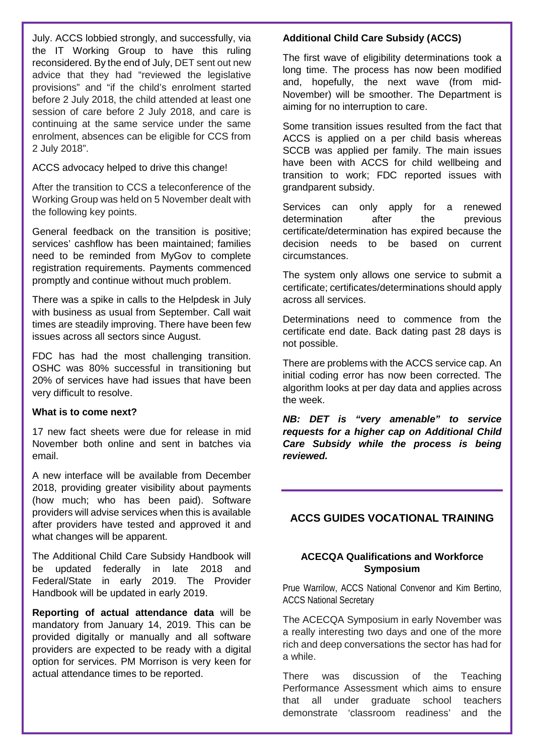July. ACCS lobbied strongly, and successfully, via the IT Working Group to have this ruling reconsidered. By the end of July, DET sent out new advice that they had "reviewed the legislative provisions" and "if the child's enrolment started before 2 July 2018, the child attended at least one session of care before 2 July 2018, and care is continuing at the same service under the same enrolment, absences can be eligible for CCS from 2 July 2018".

ACCS advocacy helped to drive this change!

After the transition to CCS a teleconference of the Working Group was held on 5 November dealt with the following key points.

General feedback on the transition is positive; services' cashflow has been maintained; families need to be reminded from MyGov to complete registration requirements. Payments commenced promptly and continue without much problem.

There was a spike in calls to the Helpdesk in July with business as usual from September. Call wait times are steadily improving. There have been few issues across all sectors since August.

FDC has had the most challenging transition. OSHC was 80% successful in transitioning but 20% of services have had issues that have been very difficult to resolve.

#### **What is to come next?**

17 new fact sheets were due for release in mid November both online and sent in batches via email.

A new interface will be available from December 2018, providing greater visibility about payments (how much; who has been paid). Software providers will advise services when this is available after providers have tested and approved it and what changes will be apparent.

The Additional Child Care Subsidy Handbook will be updated federally in late 2018 and Federal/State in early 2019. The Provider Handbook will be updated in early 2019.

**Reporting of actual attendance data** will be mandatory from January 14, 2019. This can be provided digitally or manually and all software providers are expected to be ready with a digital option for services. PM Morrison is very keen for actual attendance times to be reported.

#### **Additional Child Care Subsidy (ACCS)**

The first wave of eligibility determinations took a long time. The process has now been modified and, hopefully, the next wave (from mid-November) will be smoother. The Department is aiming for no interruption to care.

Some transition issues resulted from the fact that ACCS is applied on a per child basis whereas SCCB was applied per family. The main issues have been with ACCS for child wellbeing and transition to work; FDC reported issues with grandparent subsidy.

Services can only apply for a renewed determination after the previous certificate/determination has expired because the decision needs to be based on current circumstances.

The system only allows one service to submit a certificate; certificates/determinations should apply across all services.

Determinations need to commence from the certificate end date. Back dating past 28 days is not possible.

There are problems with the ACCS service cap. An initial coding error has now been corrected. The algorithm looks at per day data and applies across the week.

*NB: DET is "very amenable" to service requests for a higher cap on Additional Child Care Subsidy while the process is being reviewed.*

#### **ACCS GUIDES VOCATIONAL TRAINING**

#### **ACECQA Qualifications and Workforce Symposium**

Prue Warrilow, ACCS National Convenor and Kim Bertino, ACCS National Secretary

The ACECQA Symposium in early November was a really interesting two days and one of the more rich and deep conversations the sector has had for a while.

There was discussion of the Teaching Performance Assessment which aims to ensure that all under graduate school teachers demonstrate 'classroom readiness' and the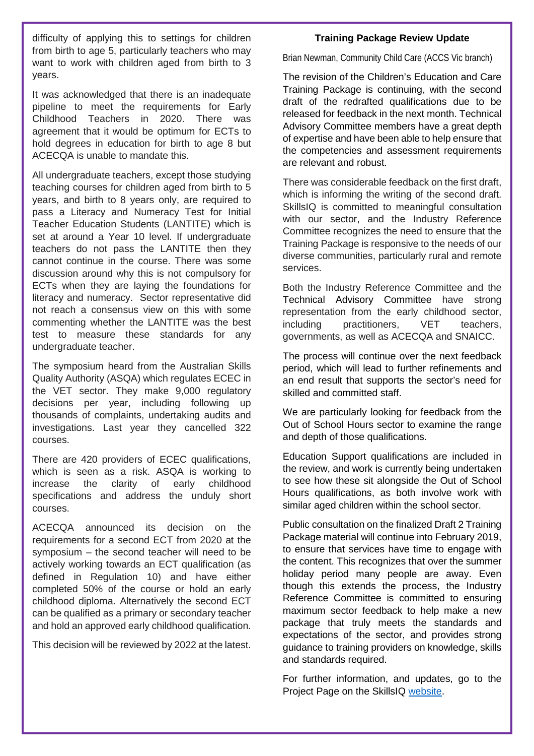difficulty of applying this to settings for children from birth to age 5, particularly teachers who may want to work with children aged from birth to 3 years.

It was acknowledged that there is an inadequate pipeline to meet the requirements for Early Childhood Teachers in 2020. There was agreement that it would be optimum for ECTs to hold degrees in education for birth to age 8 but ACECQA is unable to mandate this.

All undergraduate teachers, except those studying teaching courses for children aged from birth to 5 years, and birth to 8 years only, are required to pass a Literacy and Numeracy Test for Initial Teacher Education Students (LANTITE) which is set at around a Year 10 level. If undergraduate teachers do not pass the LANTITE then they cannot continue in the course. There was some discussion around why this is not compulsory for ECTs when they are laying the foundations for literacy and numeracy. Sector representative did not reach a consensus view on this with some commenting whether the LANTITE was the best test to measure these standards for any undergraduate teacher.

The symposium heard from the Australian Skills Quality Authority (ASQA) which regulates ECEC in the VET sector. They make 9,000 regulatory decisions per year, including following up thousands of complaints, undertaking audits and investigations. Last year they cancelled 322 courses.

There are 420 providers of ECEC qualifications, which is seen as a risk. ASQA is working to increase the clarity of early childhood specifications and address the unduly short courses.

ACECQA announced its decision on the requirements for a second ECT from 2020 at the symposium – the second teacher will need to be actively working towards an ECT qualification (as defined in Regulation 10) and have either completed 50% of the course or hold an early childhood diploma. Alternatively the second ECT can be qualified as a primary or secondary teacher and hold an approved early childhood qualification.

This decision will be reviewed by 2022 at the latest.

#### **Training Package Review Update**

Brian Newman, Community Child Care (ACCS Vic branch)

The revision of the Children's Education and Care Training Package is continuing, with the second draft of the redrafted qualifications due to be released for feedback in the next month. Technical Advisory Committee members have a great depth of expertise and have been able to help ensure that the competencies and assessment requirements are relevant and robust.

There was considerable feedback on the first draft, which is informing the writing of the second draft. SkillsIQ is committed to meaningful consultation with our sector, and the Industry Reference Committee recognizes the need to ensure that the Training Package is responsive to the needs of our diverse communities, particularly rural and remote services.

Both the Industry Reference Committee and the Technical Advisory Committee have strong representation from the early childhood sector, including practitioners, VET teachers, governments, as well as ACECQA and SNAICC.

The process will continue over the next feedback period, which will lead to further refinements and an end result that supports the sector's need for skilled and committed staff.

We are particularly looking for feedback from the Out of School Hours sector to examine the range and depth of those qualifications.

Education Support qualifications are included in the review, and work is currently being undertaken to see how these sit alongside the Out of School Hours qualifications, as both involve work with similar aged children within the school sector.

Public consultation on the finalized Draft 2 Training Package material will continue into February 2019, to ensure that services have time to engage with the content. This recognizes that over the summer holiday period many people are away. Even though this extends the process, the Industry Reference Committee is committed to ensuring maximum sector feedback to help make a new package that truly meets the standards and expectations of the sector, and provides strong guidance to training providers on knowledge, skills and standards required.

For further information, and updates, go to the Project Page on the SkillsIQ [website.](https://www.skillsiq.com.au/CurrentProjectsandCaseStudies/ChildrensEducationandCareTPD)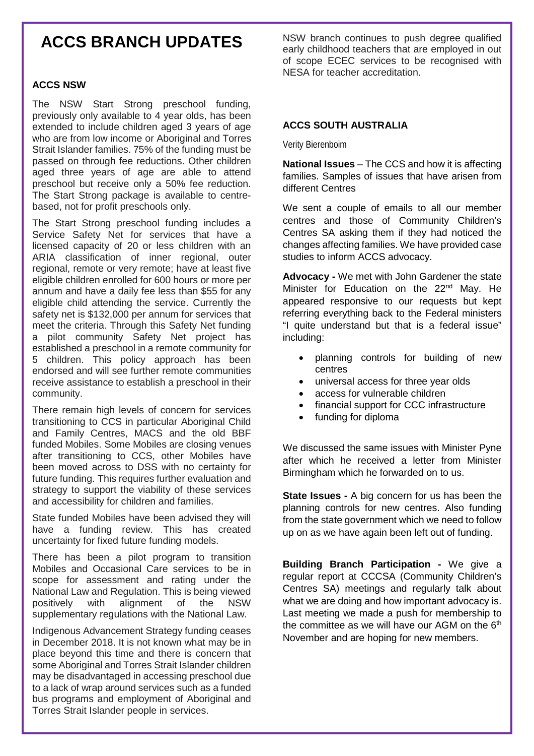### **ACCS BRANCH UPDATES**

#### **ACCS NSW**

The NSW Start Strong preschool funding, previously only available to 4 year olds, has been extended to include children aged 3 years of age who are from low income or Aboriginal and Torres Strait Islander families. 75% of the funding must be passed on through fee reductions. Other children aged three years of age are able to attend preschool but receive only a 50% fee reduction. The Start Strong package is available to centrebased, not for profit preschools only.

The Start Strong preschool funding includes a Service Safety Net for services that have a licensed capacity of 20 or less children with an ARIA classification of inner regional, outer regional, remote or very remote; have at least five eligible children enrolled for 600 hours or more per annum and have a daily fee less than \$55 for any eligible child attending the service. Currently the safety net is \$132,000 per annum for services that meet the criteria. Through this Safety Net funding a pilot community Safety Net project has established a preschool in a remote community for 5 children. This policy approach has been endorsed and will see further remote communities receive assistance to establish a preschool in their community.

There remain high levels of concern for services transitioning to CCS in particular Aboriginal Child and Family Centres, MACS and the old BBF funded Mobiles. Some Mobiles are closing venues after transitioning to CCS, other Mobiles have been moved across to DSS with no certainty for future funding. This requires further evaluation and strategy to support the viability of these services and accessibility for children and families.

State funded Mobiles have been advised they will have a funding review. This has created uncertainty for fixed future funding models.

There has been a pilot program to transition Mobiles and Occasional Care services to be in scope for assessment and rating under the National Law and Regulation. This is being viewed positively with alignment of the NSW supplementary regulations with the National Law.

Indigenous Advancement Strategy funding ceases in December 2018. It is not known what may be in place beyond this time and there is concern that some Aboriginal and Torres Strait Islander children may be disadvantaged in accessing preschool due to a lack of wrap around services such as a funded bus programs and employment of Aboriginal and Torres Strait Islander people in services.

NSW branch continues to push degree qualified early childhood teachers that are employed in out of scope ECEC services to be recognised with NESA for teacher accreditation.

#### **ACCS SOUTH AUSTRALIA**

Verity Bierenboim

**National Issues** – The CCS and how it is affecting families. Samples of issues that have arisen from different Centres

We sent a couple of emails to all our member centres and those of Community Children's Centres SA asking them if they had noticed the changes affecting families. We have provided case studies to inform ACCS advocacy.

**Advocacy -** We met with John Gardener the state Minister for Education on the 22<sup>nd</sup> May. He appeared responsive to our requests but kept referring everything back to the Federal ministers "I quite understand but that is a federal issue" including:

- planning controls for building of new centres
- universal access for three year olds
- access for vulnerable children
- financial support for CCC infrastructure
- funding for diploma

We discussed the same issues with Minister Pyne after which he received a letter from Minister Birmingham which he forwarded on to us.

**State Issues -** A big concern for us has been the planning controls for new centres. Also funding from the state government which we need to follow up on as we have again been left out of funding.

**Building Branch Participation -** We give a regular report at CCCSA (Community Children's Centres SA) meetings and regularly talk about what we are doing and how important advocacy is. Last meeting we made a push for membership to the committee as we will have our AGM on the  $6<sup>th</sup>$ November and are hoping for new members.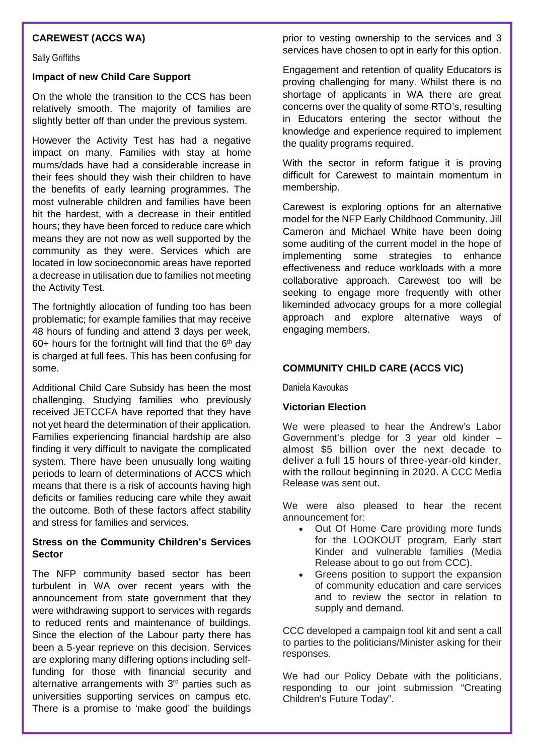#### **CAREWEST (ACCS WA)**

Sally Griffiths

#### **Impact of new Child Care Support**

On the whole the transition to the CCS has been relatively smooth. The majority of families are slightly better off than under the previous system.

However the Activity Test has had a negative impact on many. Families with stay at home mums/dads have had a considerable increase in their fees should they wish their children to have the benefits of early learning programmes. The most vulnerable children and families have been hit the hardest, with a decrease in their entitled hours; they have been forced to reduce care which means they are not now as well supported by the community as they were. Services which are located in low socioeconomic areas have reported a decrease in utilisation due to families not meeting the Activity Test.

The fortnightly allocation of funding too has been problematic; for example families that may receive 48 hours of funding and attend 3 days per week, 60+ hours for the fortnight will find that the  $6<sup>th</sup>$  day is charged at full fees. This has been confusing for some.

Additional Child Care Subsidy has been the most challenging. Studying families who previously received JETCCFA have reported that they have not yet heard the determination of their application. Families experiencing financial hardship are also finding it very difficult to navigate the complicated system. There have been unusually long waiting periods to learn of determinations of ACCS which means that there is a risk of accounts having high deficits or families reducing care while they await the outcome. Both of these factors affect stability and stress for families and services.

#### **Stress on the Community Children's Services Sector**

The NFP community based sector has been turbulent in WA over recent years with the announcement from state government that they were withdrawing support to services with regards to reduced rents and maintenance of buildings. Since the election of the Labour party there has been a 5-year reprieve on this decision. Services are exploring many differing options including selffunding for those with financial security and alternative arrangements with  $3<sup>rd</sup>$  parties such as universities supporting services on campus etc. There is a promise to 'make good' the buildings prior to vesting ownership to the services and 3 services have chosen to opt in early for this option.

Engagement and retention of quality Educators is proving challenging for many. Whilst there is no shortage of applicants in WA there are great concerns over the quality of some RTO's, resulting in Educators entering the sector without the knowledge and experience required to implement the quality programs required.

With the sector in reform fatigue it is proving difficult for Carewest to maintain momentum in membership.

Carewest is exploring options for an alternative model for the NFP Early Childhood Community. Jill Cameron and Michael White have been doing some auditing of the current model in the hope of implementing some strategies to enhance effectiveness and reduce workloads with a more collaborative approach. Carewest too will be seeking to engage more frequently with other likeminded advocacy groups for a more collegial approach and explore alternative ways of engaging members.

#### **COMMUNITY CHILD CARE (ACCS VIC)**

Daniela Kavoukas

#### **Victorian Election**

We were pleased to hear the Andrew's Labor Government's pledge for 3 year old kinder – almost \$5 billion over the next decade to deliver a full 15 hours of three-year-old kinder, with the rollout beginning in 2020. A CCC Media Release was sent out.

We were also pleased to hear the recent announcement for:

- Out Of Home Care providing more funds for the LOOKOUT program, Early start Kinder and vulnerable families (Media Release about to go out from CCC).
- Greens position to support the expansion of community education and care services and to review the sector in relation to supply and demand.

CCC developed a campaign tool kit and sent a call to parties to the politicians/Minister asking for their responses.

We had our Policy Debate with the politicians, responding to our joint submission "Creating Children's Future Today".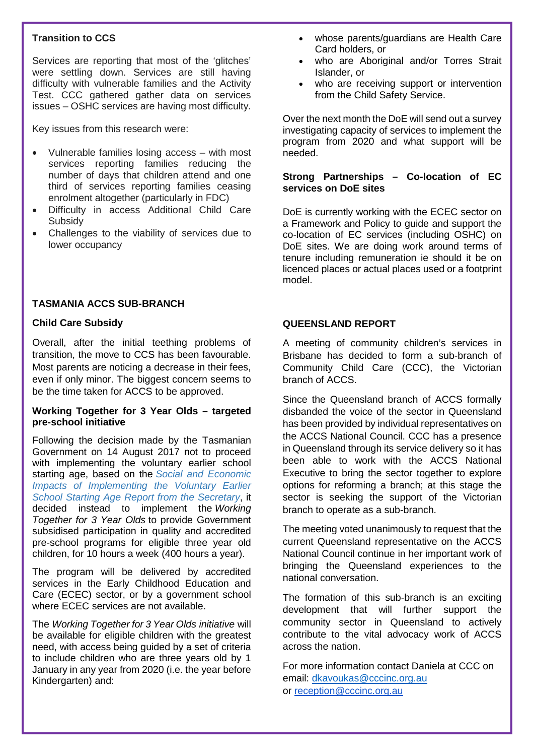#### **Transition to CCS**

Services are reporting that most of the 'glitches' were settling down. Services are still having difficulty with vulnerable families and the Activity Test. CCC gathered gather data on services issues – OSHC services are having most difficulty.

Key issues from this research were:

- Vulnerable families losing access with most services reporting families reducing the number of days that children attend and one third of services reporting families ceasing enrolment altogether (particularly in FDC)
- Difficulty in access Additional Child Care **Subsidy**
- Challenges to the viability of services due to lower occupancy

#### **TASMANIA ACCS SUB-BRANCH**

#### **Child Care Subsidy**

Overall, after the initial teething problems of transition, the move to CCS has been favourable. Most parents are noticing a decrease in their fees, even if only minor. The biggest concern seems to be the time taken for ACCS to be approved.

#### **Working Together for 3 Year Olds – targeted pre-school initiative**

Following the decision made by the Tasmanian Government on 14 August 2017 not to proceed with implementing the voluntary earlier school starting age, based on the *[Social and Economic](https://documentcentre.education.tas.gov.au/_layouts/15/DocIdRedir.aspx?ID=TASED-1797567314-8415)  [Impacts of Implementing the Voluntary Earlier](https://documentcentre.education.tas.gov.au/_layouts/15/DocIdRedir.aspx?ID=TASED-1797567314-8415)  [School Starting Age Report from the Secretary](https://documentcentre.education.tas.gov.au/_layouts/15/DocIdRedir.aspx?ID=TASED-1797567314-8415)*, it decided instead to implement the *Working Together for 3 Year Olds* to provide Government subsidised participation in quality and accredited pre-school programs for eligible three year old children, for 10 hours a week (400 hours a year).

The program will be delivered by accredited services in the Early Childhood Education and Care (ECEC) sector, or by a government school where ECEC services are not available.

The *Working Together for 3 Year Olds initiative* will be available for eligible children with the greatest need, with access being guided by a set of criteria to include children who are three years old by 1 January in any year from 2020 (i.e. the year before Kindergarten) and:

- whose parents/guardians are Health Care Card holders, or
- who are Aboriginal and/or Torres Strait Islander, or
- who are receiving support or intervention from the Child Safety Service.

Over the next month the DoE will send out a survey investigating capacity of services to implement the program from 2020 and what support will be needed.

#### **Strong Partnerships – Co-location of EC services on DoE sites**

DoE is currently working with the ECEC sector on a Framework and Policy to guide and support the co-location of EC services (including OSHC) on DoE sites. We are doing work around terms of tenure including remuneration ie should it be on licenced places or actual places used or a footprint model.

#### **QUEENSLAND REPORT**

A meeting of community children's services in Brisbane has decided to form a sub-branch of Community Child Care (CCC), the Victorian branch of ACCS.

Since the Queensland branch of ACCS formally disbanded the voice of the sector in Queensland has been provided by individual representatives on the ACCS National Council. CCC has a presence in Queensland through its service delivery so it has been able to work with the ACCS National Executive to bring the sector together to explore options for reforming a branch; at this stage the sector is seeking the support of the Victorian branch to operate as a sub-branch.

The meeting voted unanimously to request that the current Queensland representative on the ACCS National Council continue in her important work of bringing the Queensland experiences to the national conversation.

The formation of this sub-branch is an exciting development that will further support the community sector in Queensland to actively contribute to the vital advocacy work of ACCS across the nation.

For more information contact Daniela at CCC on email: [dkavoukas@cccinc.org.au](mailto:dkavoukas@cccinc.org.au) or [reception@cccinc.org.au](mailto:reception@cccinc.org.au)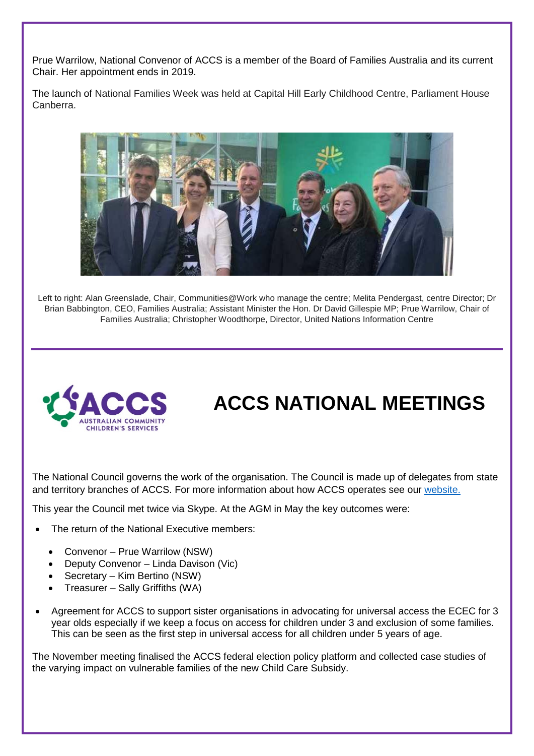Prue Warrilow, National Convenor of ACCS is a member of the Board of Families Australia and its current Chair. Her appointment ends in 2019.

The launch of National Families Week was held at Capital Hill Early Childhood Centre, Parliament House Canberra.



Left to right: Alan Greenslade, Chair, Communities@Work who manage the centre; Melita Pendergast, centre Director; Dr Brian Babbington, CEO, Families Australia; Assistant Minister the Hon. Dr David Gillespie MP; Prue Warrilow, Chair of Families Australia; Christopher Woodthorpe, Director, United Nations Information Centre



### **ACCS NATIONAL MEETINGS**

The National Council governs the work of the organisation. The Council is made up of delegates from state and territory branches of ACCS. For more information about how ACCS operates see our [website.](http://ausccs.org.au/?page_id=71)

This year the Council met twice via Skype. At the AGM in May the key outcomes were:

- The return of the National Executive members:
	- Convenor Prue Warrilow (NSW)
	- Deputy Convenor Linda Davison (Vic)
	- Secretary Kim Bertino (NSW)
	- Treasurer Sally Griffiths (WA)
- Agreement for ACCS to support sister organisations in advocating for universal access the ECEC for 3 year olds especially if we keep a focus on access for children under 3 and exclusion of some families. This can be seen as the first step in universal access for all children under 5 years of age.

The November meeting finalised the ACCS federal election policy platform and collected case studies of the varying impact on vulnerable families of the new Child Care Subsidy.